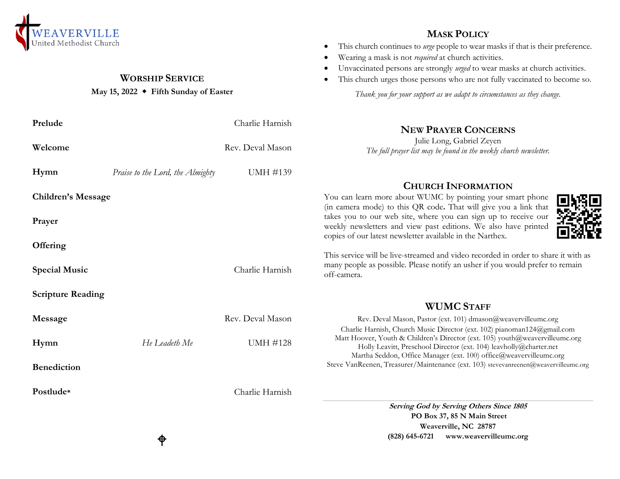

## **WORSHIP SERVICE**

#### **May 15, 2022 Fifth Sunday of Easter**

♦

#### **Prelude** Charlie Harnish **Welcome** Rev. Deval Mason **Hymn** *Praise to the Lord, the Almighty* UMH #139 **Children's Message Prayer Offering Special Music** Charlie Harnish **Scripture Reading Message** Rev. Deval Mason **Hymn** *He Leadeth Me* **UMH** #128 **Benediction Postlude\*** Charlie Harnish **NEW PRAYER CONCERNS** Julie Long, Gabriel Zeyen *The full prayer list may be found in the weekly church newsletter.* **CHURCH INFORMATION** You can learn more about WUMC by pointing your smart phone (in camera mode) to this QR code**.** That will give you a link that takes you to our web site, where you can sign up to receive our weekly newsletters and view past editions. We also have printed copies of our latest newsletter available in the Narthex. This service will be live-streamed and video recorded in order to share it with as many people as possible. Please notify an usher if you would prefer to remain off-camera. **WUMC STAFF**  Rev. Deval Mason, Pastor (ext. 101) dmason@weavervilleumc.org Charlie Harnish, Church Music Director (ext. 102) pianoman124@gmail.com Matt Hoover, Youth & Children's Director (ext. 105) youth@weavervilleumc.org Holly Leavitt, Preschool Director (ext. 104) leavholly@charter.net Martha Seddon, Office Manager (ext. 100) office@weavervilleumc.org Steve VanReenen, Treasurer/Maintenance (ext. 103) stevevanreenen@weavervilleumc.org **Serving God by Serving Others Since 1805 PO Box 37, 85 N Main Street Weaverville, NC 28787**

# **MASK POLICY**

- This church continues to *urge* people to wear masks if that is their preference.
- Wearing a mask is not *required* at church activities.
- Unvaccinated persons are strongly *urged* to wear masks at church activities.
- This church urges those persons who are not fully vaccinated to become so.

*Thank you for your support as we adapt to circumstances as they change.*

**(828) 645-6721 [www.weavervilleumc.org](http://www.weavervilleumc.org/)**